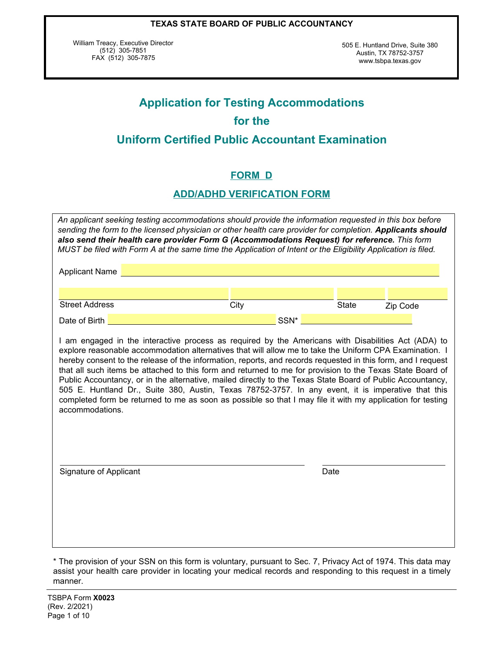William Treacy, Executive Director  $(512)$  305-7851 FAX (512) 305-7875

505 E. Huntland Drive, Suite 380 Austin, TX 78752-3757 www.tsbpa.texas.gov

# **Application for Testing Accommodations for the Uniform Certified Public Accountant Examination**

# **FORM D**

# **ADD/ADHD VERIFICATION FORM**

| An applicant seeking testing accommodations should provide the information requested in this box before<br>sending the form to the licensed physician or other health care provider for completion. Applicants should<br>also send their health care provider Form G (Accommodations Request) for reference. This form<br>MUST be filed with Form A at the same time the Application of Intent or the Eligibility Application is filed.                                                                                                                                                                                                                                                                                                                                                          |  |      |      |              |          |
|--------------------------------------------------------------------------------------------------------------------------------------------------------------------------------------------------------------------------------------------------------------------------------------------------------------------------------------------------------------------------------------------------------------------------------------------------------------------------------------------------------------------------------------------------------------------------------------------------------------------------------------------------------------------------------------------------------------------------------------------------------------------------------------------------|--|------|------|--------------|----------|
| <b>Applicant Name</b>                                                                                                                                                                                                                                                                                                                                                                                                                                                                                                                                                                                                                                                                                                                                                                            |  |      |      |              |          |
|                                                                                                                                                                                                                                                                                                                                                                                                                                                                                                                                                                                                                                                                                                                                                                                                  |  |      |      |              |          |
| <b>Street Address</b>                                                                                                                                                                                                                                                                                                                                                                                                                                                                                                                                                                                                                                                                                                                                                                            |  | City |      | <b>State</b> | Zip Code |
| Date of Birth                                                                                                                                                                                                                                                                                                                                                                                                                                                                                                                                                                                                                                                                                                                                                                                    |  |      | SSN* |              |          |
| I am engaged in the interactive process as required by the Americans with Disabilities Act (ADA) to<br>explore reasonable accommodation alternatives that will allow me to take the Uniform CPA Examination. I<br>hereby consent to the release of the information, reports, and records requested in this form, and I request<br>that all such items be attached to this form and returned to me for provision to the Texas State Board of<br>Public Accountancy, or in the alternative, mailed directly to the Texas State Board of Public Accountancy,<br>505 E. Huntland Dr., Suite 380, Austin, Texas 78752-3757. In any event, it is imperative that this<br>completed form be returned to me as soon as possible so that I may file it with my application for testing<br>accommodations. |  |      |      |              |          |
| Signature of Applicant                                                                                                                                                                                                                                                                                                                                                                                                                                                                                                                                                                                                                                                                                                                                                                           |  |      |      | Date         |          |
|                                                                                                                                                                                                                                                                                                                                                                                                                                                                                                                                                                                                                                                                                                                                                                                                  |  |      |      |              |          |

TSBPA Form **X0023** (Rev. 2/2021) Page 1 of 10

<sup>\*</sup> The provision of your SSN on this form is voluntary, pursuant to Sec. 7, Privacy Act of 1974. This data may assist your health care provider in locating your medical records and responding to this request in a timely manner.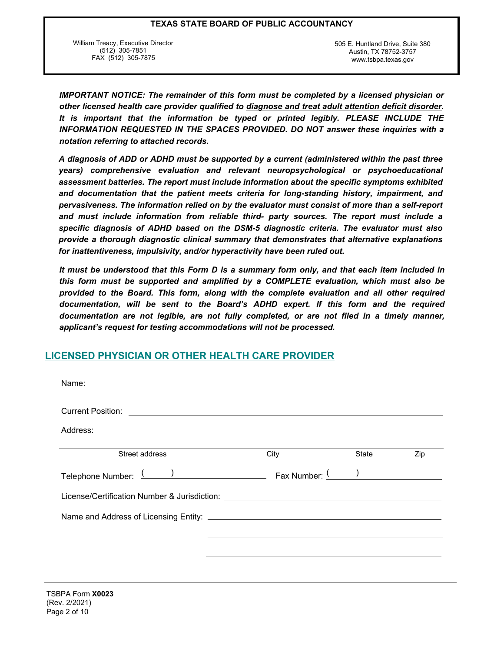William Treacy, Executive Director (512) 305-7851 FAX (512) 305-7875

505 E. Huntland Drive, Suite 380 Austin, TX 78752-3757 www.tsbpa.texas.gov

*IMPORTANT NOTICE: The remainder of this form must be completed by a licensed physician or other licensed health care provider qualified to diagnose and treat adult attention deficit disorder. It is important that the information be typed or printed legibly. PLEASE INCLUDE THE INFORMATION REQUESTED IN THE SPACES PROVIDED. DO NOT answer these inquiries with a notation referring to attached records.*

*A diagnosis of ADD or ADHD must be supported by a current (administered within the past three years) comprehensive evaluation and relevant neuropsychological or psychoeducational assessment batteries. The report must include information about the specific symptoms exhibited and documentation that the patient meets criteria for long-standing history, impairment, and pervasiveness. The information relied on by the evaluator must consist of more than a self-report and must include information from reliable third- party sources. The report must include a specific diagnosis of ADHD based on the DSM-5 diagnostic criteria. The evaluator must also provide a thorough diagnostic clinical summary that demonstrates that alternative explanations for inattentiveness, impulsivity, and/or hyperactivity have been ruled out.*

*It must be understood that this Form D is a summary form only, and that each item included in this form must be supported and amplified by a COMPLETE evaluation, which must also be provided to the Board. This form, along with the complete evaluation and all other required documentation, will be sent to the Board's ADHD expert. If this form and the required documentation are not legible, are not fully completed, or are not filed in a timely manner, applicant's request for testing accommodations will not be processed.*

## **LICENSED PHYSICIAN OR OTHER HEALTH CARE PROVIDER**

| Name:<br><u> 1989 - Andrea Station, amerikansk politik (d. 1989)</u>             |      |       |     |
|----------------------------------------------------------------------------------|------|-------|-----|
| <b>Current Position:</b>                                                         |      |       |     |
| Address:                                                                         |      |       |     |
| Street address                                                                   | City | State | Zip |
| Telephone Number: ( ) Telephone Number: ( )                                      |      |       |     |
| License/Certification Number & Jurisdiction: ___________________________________ |      |       |     |
|                                                                                  |      |       |     |
|                                                                                  |      |       |     |
|                                                                                  |      |       |     |
|                                                                                  |      |       |     |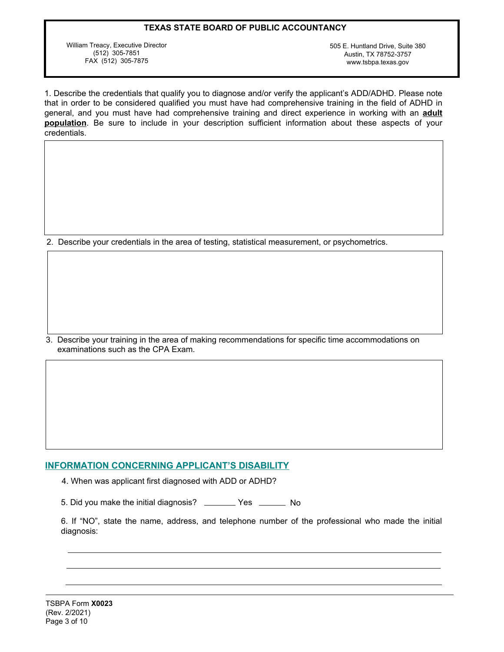William Treacy, Executive Director (512) 305-7851 FAX (512) 305-7875

505 E. Huntland Drive, Suite 380 Austin, TX 78752-3757 www.tsbpa.texas.gov

1. Describe the credentials that qualify you to diagnose and/or verify the applicant's ADD/ADHD. Please note that in order to be considered qualified you must have had comprehensive training in the field of ADHD in general, and you must have had comprehensive training and direct experience in working with an **adult population**. Be sure to include in your description sufficient information about these aspects of your credentials.

2. Describe your credentials in the area of testing, statistical measurement, or psychometrics.

3. Describe your training in the area of making recommendations for specific time accommodations on examinations such as the CPA Exam.

## **INFORMATION CONCERNING APPLICANT'S DISABILITY**

4. When was applicant first diagnosed with ADD or ADHD?

5. Did you make the initial diagnosis? \_\_\_\_\_\_\_ Yes \_\_\_\_\_\_ No

6. If "NO", state the name, address, and telephone number of the professional who made the initial diagnosis: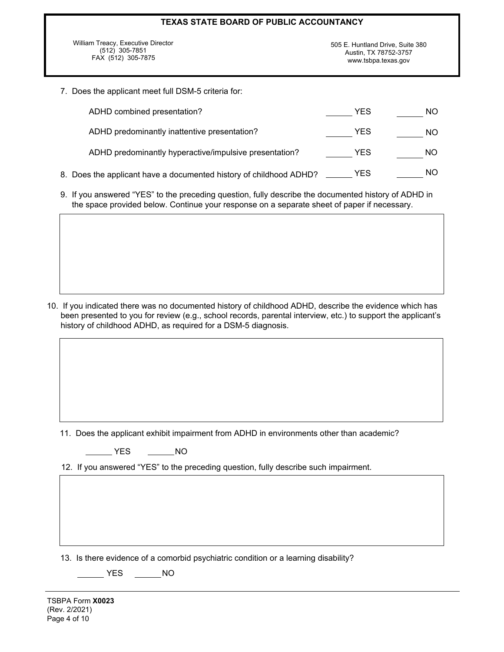| TEXAS STATE BOARD OF PUBLIC ACCOUNTANCY |                                  |  |
|-----------------------------------------|----------------------------------|--|
| William Treacy, Executive Director      | 505 E. Huntland Drive, Suite 380 |  |
| $(512)$ 305-7851                        | Austin, TX 78752-3757            |  |
| FAX (512) 305-7875                      | www.tsbpa.texas.gov              |  |

7. Does the applicant meet full DSM-5 criteria for:

| ADHD combined presentation?                                        | YES        | <b>NO</b> |
|--------------------------------------------------------------------|------------|-----------|
| ADHD predominantly inattentive presentation?                       | <b>YES</b> | <b>NO</b> |
| ADHD predominantly hyperactive/impulsive presentation?             | YES        | NO.       |
| 8. Does the applicant have a documented history of childhood ADHD? | YES        | NO.       |

9. If you answered "YES" to the preceding question, fully describe the documented history of ADHD in the space provided below. Continue your response on a separate sheet of paper if necessary.

10. If you indicated there was no documented history of childhood ADHD, describe the evidence which has been presented to you for review (e.g., school records, parental interview, etc.) to support the applicant's history of childhood ADHD, as required for a DSM-5 diagnosis.

11. Does the applicant exhibit impairment from ADHD in environments other than academic?

 $\overline{\phantom{0}}$  YES  $\overline{\phantom{0}}$  NO

12. If you answered "YES" to the preceding question, fully describe such impairment.

13. Is there evidence of a comorbid psychiatric condition or a learning disability?

 $T$  YES  $T$  NO

TSBPA Form **X0023** (Rev. 2/2021) Page 4 of 10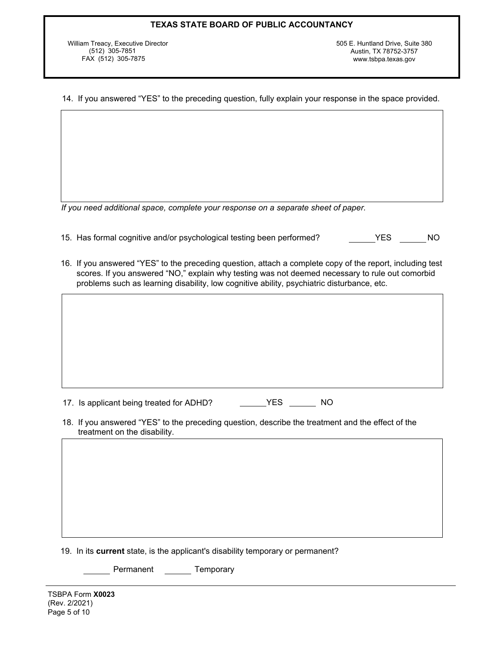William Treacy, Executive Director (512) 305-7851 FAX (512) 305-7875

505 E. Huntland Drive, Suite 380 Austin, TX 78752-3757 www.tsbpa.texas.gov

14. If you answered "YES" to the preceding question, fully explain your response in the space provided.

*If you need additional space, complete your response on a separate sheet of paper.*

- 15. Has formal cognitive and/or psychological testing been performed? YES NO
- 16. If you answered "YES" to the preceding question, attach a complete copy of the report, including test scores. If you answered "NO," explain why testing was not deemed necessary to rule out comorbid problems such as learning disability, low cognitive ability, psychiatric disturbance, etc.

17. Is applicant being treated for ADHD? YES WARD MO

18. If you answered "YES" to the preceding question, describe the treatment and the effect of the treatment on the disability.

19. In its **current** state, is the applicant's disability temporary or permanent?

Permanent \_\_\_\_\_\_\_ Temporary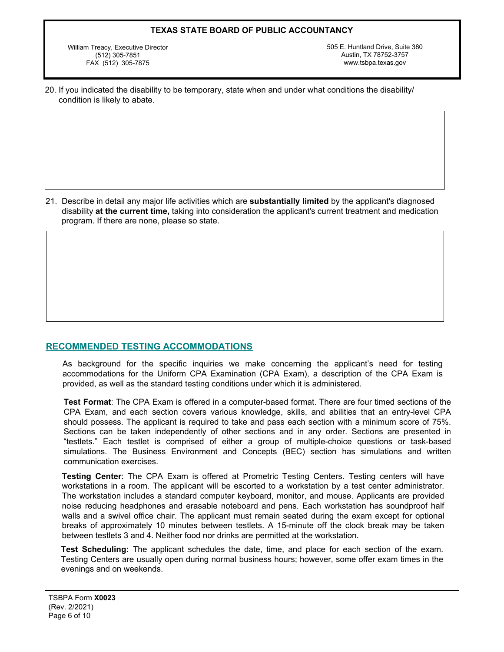William Treacy, Executive Director (512) 305-7851 FAX (512) 305-7875

505 E. Huntland Drive, Suite 380 Austin, TX 78752-3757 www.tsbpa.texas.gov

20. If you indicated the disability to be temporary, state when and under what conditions the disability/ condition is likely to abate.

21. Describe in detail any major life activities which are **substantially limited** by the applicant's diagnosed disability **at the current time,** taking into consideration the applicant's current treatment and medication program. If there are none, please so state.

## **RECOMMENDED TESTING ACCOMMODATIONS**

As background for the specific inquiries we make concerning the applicant's need for testing accommodations for the Uniform CPA Examination (CPA Exam), a description of the CPA Exam is provided, as well as the standard testing conditions under which it is administered.

**Test Format**: The CPA Exam is offered in a computer-based format. There are four timed sections of the CPA Exam, and each section covers various knowledge, skills, and abilities that an entry-level CPA should possess. The applicant is required to take and pass each section with a minimum score of 75%. Sections can be taken independently of other sections and in any order. Sections are presented in "testlets." Each testlet is comprised of either a group of multiple-choice questions or task-based simulations. The Business Environment and Concepts (BEC) section has simulations and written communication exercises.

**Testing Center**: The CPA Exam is offered at Prometric Testing Centers. Testing centers will have workstations in a room. The applicant will be escorted to a workstation by a test center administrator. The workstation includes a standard computer keyboard, monitor, and mouse. Applicants are provided noise reducing headphones and erasable noteboard and pens. Each workstation has soundproof half walls and a swivel office chair. The applicant must remain seated during the exam except for optional breaks of approximately 10 minutes between testlets. A 15-minute off the clock break may be taken between testlets 3 and 4. Neither food nor drinks are permitted at the workstation.

**Test Scheduling:** The applicant schedules the date, time, and place for each section of the exam. Testing Centers are usually open during normal business hours; however, some offer exam times in the evenings and on weekends.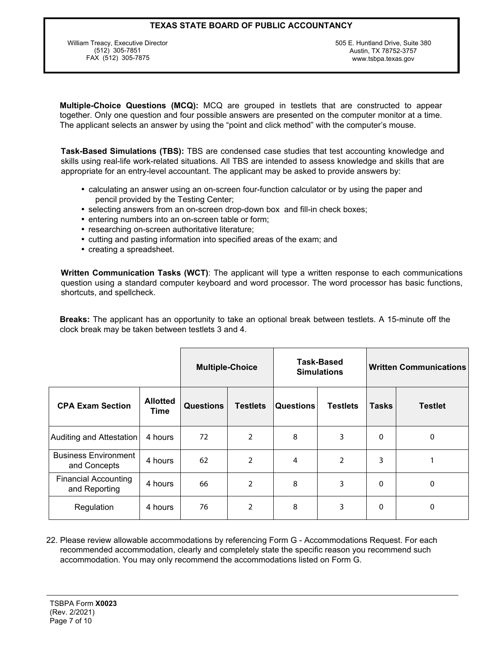William Treacy, Executive Director (512) 305-7851 FAX (512) 305-7875

505 E. Huntland Drive, Suite 380 Austin, TX 78752-3757 www.tsbpa.texas.gov

**Multiple-Choice Questions (MCQ):** MCQ are grouped in testlets that are constructed to appear together. Only one question and four possible answers are presented on the computer monitor at a time. The applicant selects an answer by using the "point and click method" with the computer's mouse.

**Task-Based Simulations (TBS):** TBS are condensed case studies that test accounting knowledge and skills using real-life work-related situations. All TBS are intended to assess knowledge and skills that are appropriate for an entry-level accountant. The applicant may be asked to provide answers by:

- calculating an answer using an on-screen four-function calculator or by using the paper and pencil provided by the Testing Center;
- selecting answers from an on-screen drop-down box and fill-in check boxes;
- entering numbers into an on-screen table or form;
- researching on-screen authoritative literature;
- cutting and pasting information into specified areas of the exam; and
- creating a spreadsheet.

**Written Communication Tasks (WCT)**: The applicant will type a written response to each communications question using a standard computer keyboard and word processor. The word processor has basic functions, shortcuts, and spellcheck.

**Breaks:** The applicant has an opportunity to take an optional break between testlets. A 15-minute off the clock break may be taken between testlets 3 and 4.

|                                              |                         | <b>Multiple-Choice</b> |                 | Task-Based<br><b>Simulations</b> |                 | <b>Written Communications</b> |                |
|----------------------------------------------|-------------------------|------------------------|-----------------|----------------------------------|-----------------|-------------------------------|----------------|
| <b>CPA Exam Section</b>                      | <b>Allotted</b><br>Time | <b>Questions</b>       | <b>Testlets</b> | Questions                        | <b>Testlets</b> | <b>Tasks</b>                  | <b>Testlet</b> |
| Auditing and Attestation                     | 4 hours                 | 72                     | 2               | 8                                | 3               | 0                             | 0              |
| <b>Business Environment</b><br>and Concepts  | 4 hours                 | 62                     | $\overline{2}$  | 4                                | $\overline{2}$  | 3                             |                |
| <b>Financial Accounting</b><br>and Reporting | 4 hours                 | 66                     | 2               | 8                                | 3               | $\Omega$                      | 0              |
| Regulation                                   | 4 hours                 | 76                     | $\overline{2}$  | 8                                | 3               | 0                             | 0              |

22. Please review allowable accommodations by referencing Form G - Accommodations Request. For each recommended accommodation, clearly and completely state the specific reason you recommend such accommodation. You may only recommend the accommodations listed on Form G.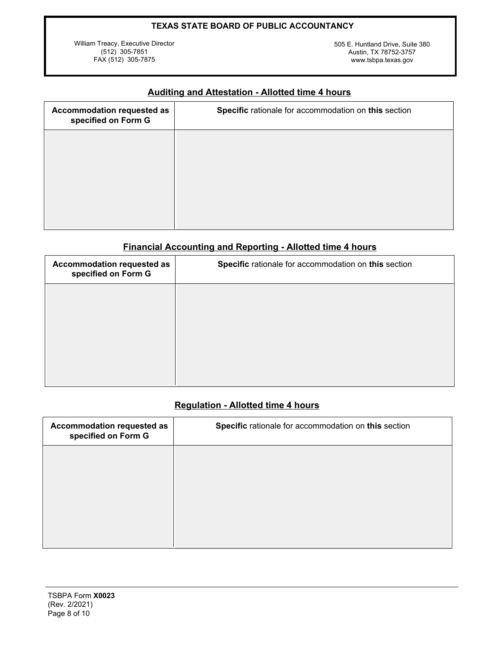William Treacy, Executive Director (512) 305-7851 FAX (512) 305-7875

505 E. Huntland Drive, Suite 380 Austin, TX 78752-3757 www.tsbpa.texas.gov

| Accommodation requested as<br>specified on Form G | Specific rationale for accommodation on this section |
|---------------------------------------------------|------------------------------------------------------|
|                                                   |                                                      |
|                                                   |                                                      |
|                                                   |                                                      |
|                                                   |                                                      |

# **Auditing and Attestation - Allotted time 4 hours**

# **Financial Accounting and Reporting - Allotted time 4 hours**

| Accommodation requested as<br>specified on Form G | Specific rationale for accommodation on this section |
|---------------------------------------------------|------------------------------------------------------|
|                                                   |                                                      |
|                                                   |                                                      |
|                                                   |                                                      |
|                                                   |                                                      |

## **Regulation - Allotted time 4 hours**

| Accommodation requested as<br>specified on Form G | Specific rationale for accommodation on this section |
|---------------------------------------------------|------------------------------------------------------|
|                                                   |                                                      |
|                                                   |                                                      |
|                                                   |                                                      |
|                                                   |                                                      |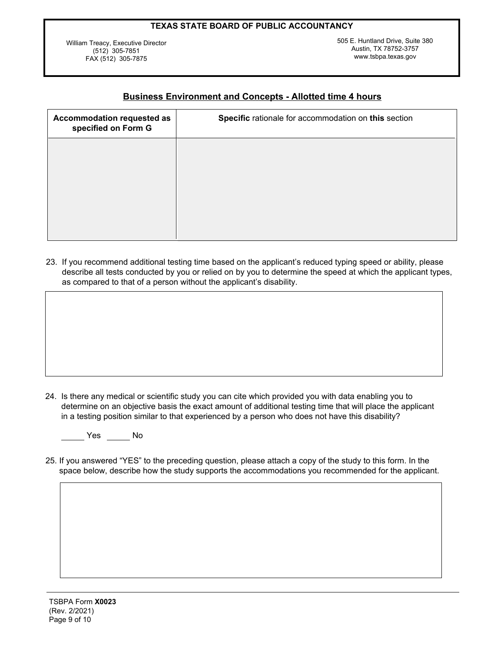William Treacy, Executive Director (512) 305-7851 FAX (512) 305-7875

505 E. Huntland Drive, Suite 380 Austin, TX 78752-3757 www.tsbpa.texas.gov

## **Business Environment and Concepts - Allotted time 4 hours**

| <b>Accommodation requested as</b><br>specified on Form G | Specific rationale for accommodation on this section |
|----------------------------------------------------------|------------------------------------------------------|
|                                                          |                                                      |
|                                                          |                                                      |
|                                                          |                                                      |
|                                                          |                                                      |

23. If you recommend additional testing time based on the applicant's reduced typing speed or ability, please describe all tests conducted by you or relied on by you to determine the speed at which the applicant types, as compared to that of a person without the applicant's disability.

24. Is there any medical or scientific study you can cite which provided you with data enabling you to determine on an objective basis the exact amount of additional testing time that will place the applicant in a testing position similar to that experienced by a person who does not have this disability?

No No No

25. If you answered "YES" to the preceding question, please attach a copy of the study to this form. In the space below, describe how the study supports the accommodations you recommended for the applicant.